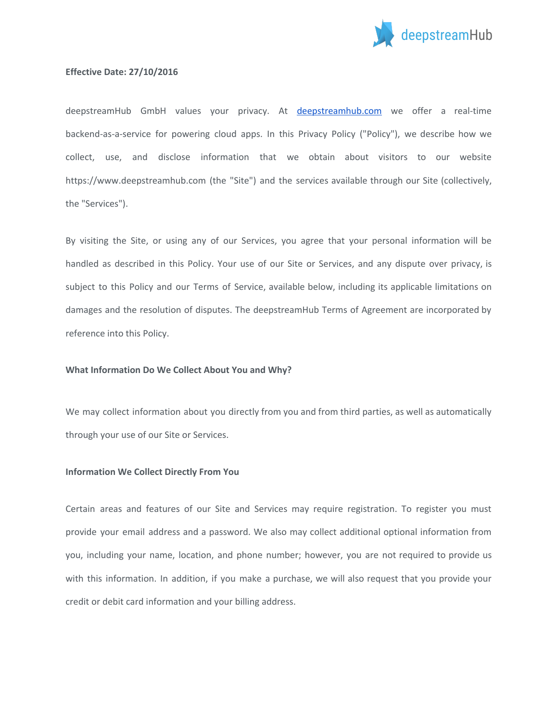

## **Effective Date: 27/10/2016**

deepstreamHub GmbH values your privacy. At [deepstreamhub.com](http://www.deepstreamhub.com/) we offer a real-time backend-as-a-service for powering cloud apps. In this Privacy Policy ("Policy"), we describe how we collect, use, and disclose information that we obtain about visitors to our website https://www.deepstreamhub.com (the "Site") and the services available through our Site (collectively, the "Services").

By visiting the Site, or using any of our Services, you agree that your personal information will be handled as described in this Policy. Your use of our Site or Services, and any dispute over privacy, is subject to this Policy and our Terms of Service, available below, including its applicable limitations on damages and the resolution of disputes. The deepstreamHub Terms of Agreement are incorporated by reference into this Policy.

### **What Information Do We Collect About You and Why?**

We may collect information about you directly from you and from third parties, as well as automatically through your use of our Site or Services.

### **Information We Collect Directly From You**

Certain areas and features of our Site and Services may require registration. To register you must provide your email address and a password. We also may collect additional optional information from you, including your name, location, and phone number; however, you are not required to provide us with this information. In addition, if you make a purchase, we will also request that you provide your credit or debit card information and your billing address.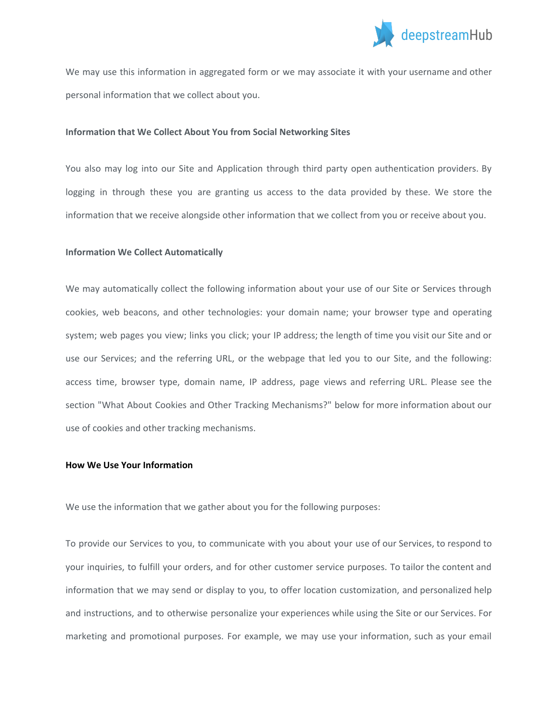

We may use this information in aggregated form or we may associate it with your username and other personal information that we collect about you.

#### **Information that We Collect About You from Social Networking Sites**

You also may log into our Site and Application through third party open authentication providers. By logging in through these you are granting us access to the data provided by these. We store the information that we receive alongside other information that we collect from you or receive about you.

#### **Information We Collect Automatically**

We may automatically collect the following information about your use of our Site or Services through cookies, web beacons, and other technologies: your domain name; your browser type and operating system; web pages you view; links you click; your IP address; the length of time you visit our Site and or use our Services; and the referring URL, or the webpage that led you to our Site, and the following: access time, browser type, domain name, IP address, page views and referring URL. Please see the section "What About Cookies and Other Tracking Mechanisms?" below for more information about our use of cookies and other tracking mechanisms.

# **How We Use Your Information**

We use the information that we gather about you for the following purposes:

To provide our Services to you, to communicate with you about your use of our Services, to respond to your inquiries, to fulfill your orders, and for other customer service purposes. To tailor the content and information that we may send or display to you, to offer location customization, and personalized help and instructions, and to otherwise personalize your experiences while using the Site or our Services. For marketing and promotional purposes. For example, we may use your information, such as your email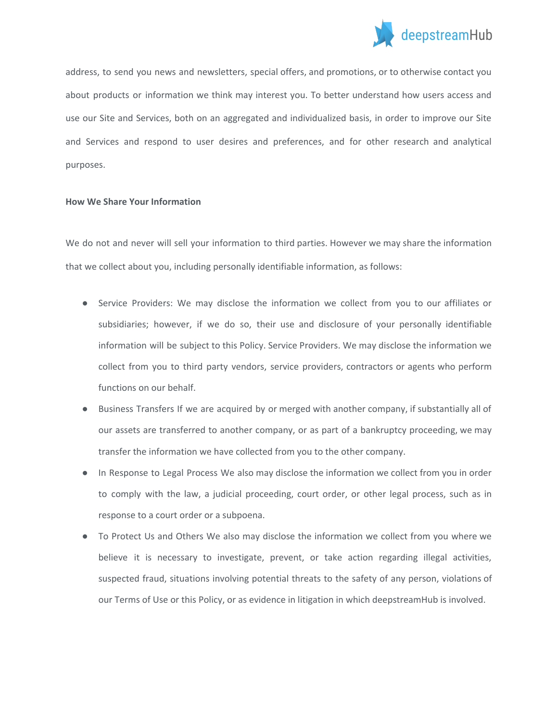

address, to send you news and newsletters, special offers, and promotions, or to otherwise contact you about products or information we think may interest you. To better understand how users access and use our Site and Services, both on an aggregated and individualized basis, in order to improve our Site and Services and respond to user desires and preferences, and for other research and analytical purposes.

## **How We Share Your Information**

We do not and never will sell your information to third parties. However we may share the information that we collect about you, including personally identifiable information, as follows:

- Service Providers: We may disclose the information we collect from you to our affiliates or subsidiaries; however, if we do so, their use and disclosure of your personally identifiable information will be subject to this Policy. Service Providers. We may disclose the information we collect from you to third party vendors, service providers, contractors or agents who perform functions on our behalf.
- Business Transfers If we are acquired by or merged with another company, if substantially all of our assets are transferred to another company, or as part of a bankruptcy proceeding, we may transfer the information we have collected from you to the other company.
- In Response to Legal Process We also may disclose the information we collect from you in order to comply with the law, a judicial proceeding, court order, or other legal process, such as in response to a court order or a subpoena.
- To Protect Us and Others We also may disclose the information we collect from you where we believe it is necessary to investigate, prevent, or take action regarding illegal activities, suspected fraud, situations involving potential threats to the safety of any person, violations of our Terms of Use or this Policy, or as evidence in litigation in which deepstreamHub is involved.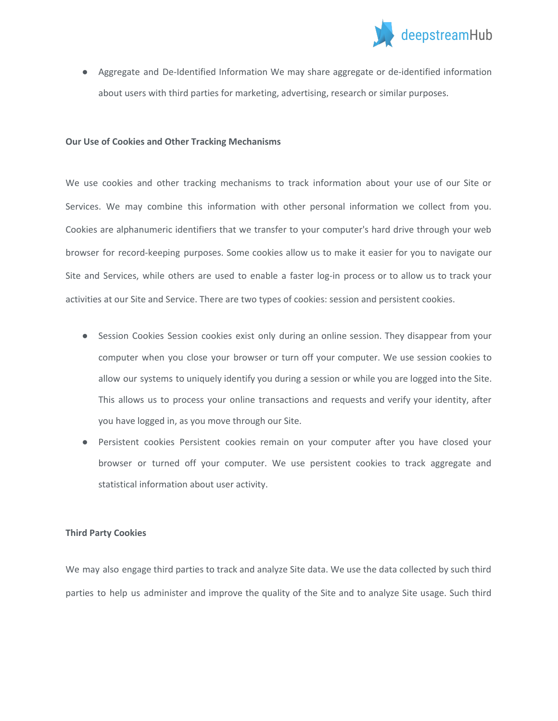

● Aggregate and De-Identified Information We may share aggregate or de-identified information about users with third parties for marketing, advertising, research or similar purposes.

### **Our Use of Cookies and Other Tracking Mechanisms**

We use cookies and other tracking mechanisms to track information about your use of our Site or Services. We may combine this information with other personal information we collect from you. Cookies are alphanumeric identifiers that we transfer to your computer's hard drive through your web browser for record-keeping purposes. Some cookies allow us to make it easier for you to navigate our Site and Services, while others are used to enable a faster log-in process or to allow us to track your activities at our Site and Service. There are two types of cookies: session and persistent cookies.

- Session Cookies Session cookies exist only during an online session. They disappear from your computer when you close your browser or turn off your computer. We use session cookies to allow our systems to uniquely identify you during a session or while you are logged into the Site. This allows us to process your online transactions and requests and verify your identity, after you have logged in, as you move through our Site.
- Persistent cookies Persistent cookies remain on your computer after you have closed your browser or turned off your computer. We use persistent cookies to track aggregate and statistical information about user activity.

# **Third Party Cookies**

We may also engage third parties to track and analyze Site data. We use the data collected by such third parties to help us administer and improve the quality of the Site and to analyze Site usage. Such third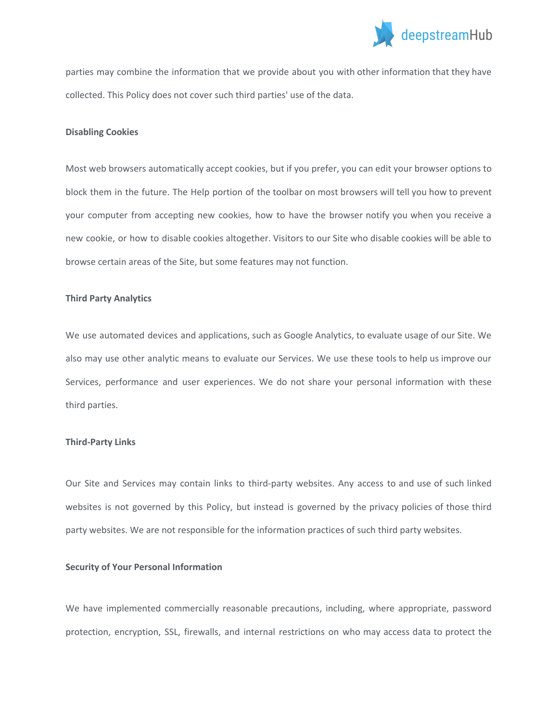

parties may combine the information that we provide about you with other information that they have collected. This Policy does not cover such third parties' use of the data.

#### **Disabling Cookies**

Most web browsers automatically accept cookies, but if you prefer, you can edit your browser options to block them in the future. The Help portion of the toolbar on most browsers will tell you how to prevent your computer from accepting new cookies, how to have the browser notify you when you receive a new cookie, or how to disable cookies altogether. Visitors to our Site who disable cookies will be able to browse certain areas of the Site, but some features may not function.

## **Third Party Analytics**

We use automated devices and applications, such as Google Analytics, to evaluate usage of our Site. We also may use other analytic means to evaluate our Services. We use these tools to help us improve our Services, performance and user experiences. We do not share your personal information with these third parties.

#### **Third-Party Links**

Our Site and Services may contain links to third-party websites. Any access to and use of such linked websites is not governed by this Policy, but instead is governed by the privacy policies of those third party websites. We are not responsible for the information practices of such third party websites.

# **Security of Your Personal Information**

We have implemented commercially reasonable precautions, including, where appropriate, password protection, encryption, SSL, firewalls, and internal restrictions on who may access data to protect the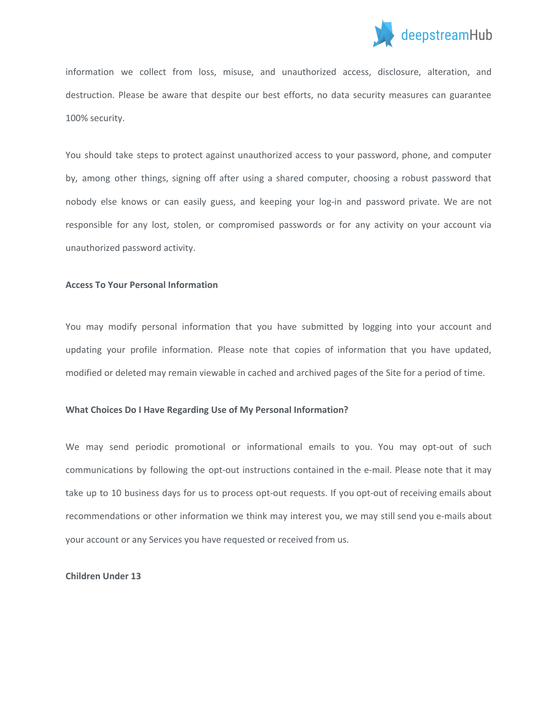

information we collect from loss, misuse, and unauthorized access, disclosure, alteration, and destruction. Please be aware that despite our best efforts, no data security measures can guarantee 100% security.

You should take steps to protect against unauthorized access to your password, phone, and computer by, among other things, signing off after using a shared computer, choosing a robust password that nobody else knows or can easily guess, and keeping your log-in and password private. We are not responsible for any lost, stolen, or compromised passwords or for any activity on your account via unauthorized password activity.

## **Access To Your Personal Information**

You may modify personal information that you have submitted by logging into your account and updating your profile information. Please note that copies of information that you have updated, modified or deleted may remain viewable in cached and archived pages of the Site for a period of time.

# **What Choices Do I Have Regarding Use of My Personal Information?**

We may send periodic promotional or informational emails to you. You may opt-out of such communications by following the opt-out instructions contained in the e-mail. Please note that it may take up to 10 business days for us to process opt-out requests. If you opt-out of receiving emails about recommendations or other information we think may interest you, we may still send you e-mails about your account or any Services you have requested or received from us.

### **Children Under 13**